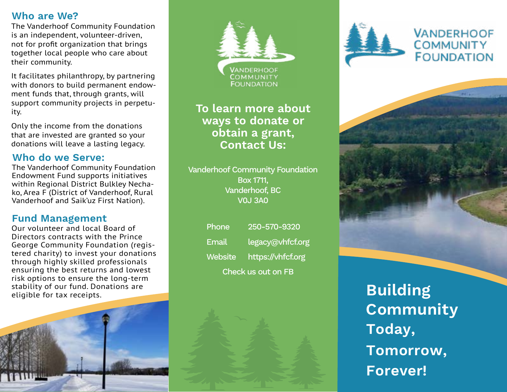### **Who are We?**

The Vanderhoof Community Foundation is an independent, volunteer-driven, not for profit organization that brings together local people who care about their community.

It facilitates philanthropy, by partnering with donors to build permanent endowment funds that, through grants, will support community projects in perpetuity.

Only the income from the donations that are invested are granted so your donations will leave a lasting legacy.

### **Who do we Serve:**

The Vanderhoof Community Foundation Endowment Fund supports initiatives within Regional District Bulkley Nechako, Area F (District of Vanderhoof, Rural Vanderhoof and Saik'uz First Nation).

### **Fund Management**

Our volunteer and local Board of Directors contracts with the Prince George Community Foundation (registered charity) to invest your donations through highly skilled professionals ensuring the best returns and lowest risk options to ensure the long-term stability of our fund. Donations are eligible for tax receipts.



# **To learn more about ways to donate or obtain a grant, Contact Us:**

Vanderhoof Community Foundation Box 1711, Vanderhoof, BC V0J 3A0

| <b>Check us out on FB</b> |                           |
|---------------------------|---------------------------|
|                           | Website https://vhfcf.org |
| Email                     | legacy@vhfcf.org          |
| Phone                     | 250-570-9320              |





# **VANDERHOOF COMMUNITY FOUNDATION**



**Building Community Tomorrow, Forever! Today,**